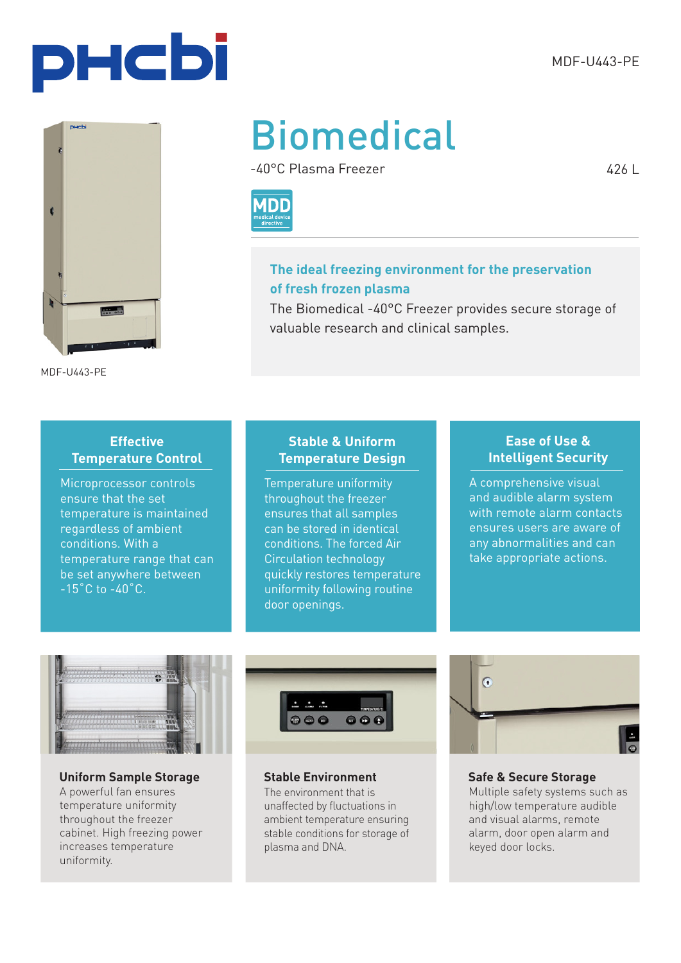

MDF-U443-PE

# Biomedical

-40°C Plasma Freezer



#### **The ideal freezing environment for the preservation of fresh frozen plasma**

The Biomedical -40°C Freezer provides secure storage of valuable research and clinical samples.

#### **Effective Temperature Control**

Microprocessor controls ensure that the set temperature is maintained regardless of ambient conditions. With a temperature range that can be set anywhere between  $-15^{\circ}$ C to  $-40^{\circ}$ C.

#### **Stable & Uniform Temperature Design**

Temperature uniformity throughout the freezer ensures that all samples can be stored in identical conditions. The forced Air Circulation technology quickly restores temperature uniformity following routine door openings.

#### **Ease of Use & Intelligent Security**

A comprehensive visual and audible alarm system with remote alarm contacts ensures users are aware of any abnormalities and can take appropriate actions.



#### **Uniform Sample Storage Stable Environment**

A powerful fan ensures temperature uniformity throughout the freezer cabinet. High freezing power increases temperature uniformity.



The environment that is unaffected by fluctuations in ambient temperature ensuring stable conditions for storage of plasma and DNA.



**Safe & Secure Storage** Multiple safety systems such as high/low temperature audible and visual alarms, remote alarm, door open alarm and keyed door locks.

426 L